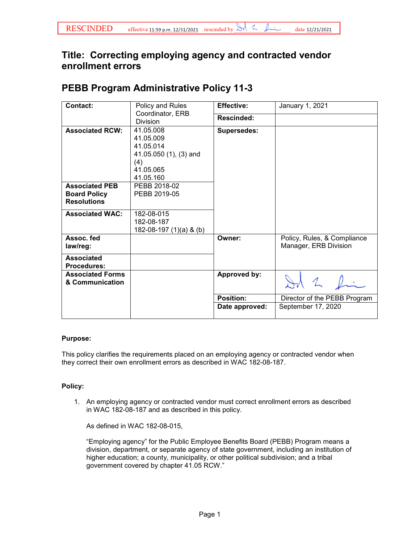## **Title: Correcting employing agency and contracted vendor enrollment errors**

## **PEBB Program Administrative Policy 11-3**

| <b>Contact:</b>                                                    | Policy and Rules<br>Coordinator, ERB<br><b>Division</b>                                        | <b>Effective:</b>  | January 1, 2021                                      |
|--------------------------------------------------------------------|------------------------------------------------------------------------------------------------|--------------------|------------------------------------------------------|
|                                                                    |                                                                                                | Rescinded:         |                                                      |
| <b>Associated RCW:</b>                                             | 41.05.008<br>41.05.009<br>41.05.014<br>41.05.050 (1), (3) and<br>(4)<br>41.05.065<br>41.05.160 | <b>Supersedes:</b> |                                                      |
| <b>Associated PEB</b><br><b>Board Policy</b><br><b>Resolutions</b> | PEBB 2018-02<br>PEBB 2019-05                                                                   |                    |                                                      |
| <b>Associated WAC:</b>                                             | 182-08-015<br>182-08-187<br>182-08-197 (1)(a) & (b)                                            |                    |                                                      |
| Assoc. fed<br>law/reg:                                             |                                                                                                | Owner:             | Policy, Rules, & Compliance<br>Manager, ERB Division |
| <b>Associated</b><br><b>Procedures:</b>                            |                                                                                                |                    |                                                      |
| <b>Associated Forms</b><br>& Communication                         |                                                                                                | Approved by:       |                                                      |
|                                                                    |                                                                                                | <b>Position:</b>   | Director of the PEBB Program                         |
|                                                                    |                                                                                                | Date approved:     | September 17, 2020                                   |

## **Purpose:**

This policy clarifies the requirements placed on an employing agency or contracted vendor when they correct their own enrollment errors as described in WAC 182-08-187.

## **Policy:**

1. An employing agency or contracted vendor must correct enrollment errors as described in WAC 182-08-187 and as described in this policy.

As defined in WAC 182-08-015,

"Employing agency" for the Public Employee Benefits Board (PEBB) Program means a division, department, or separate agency of state government, including an institution of higher education; a county, municipality, or other political subdivision; and a tribal government covered by chapter 41.05 RCW."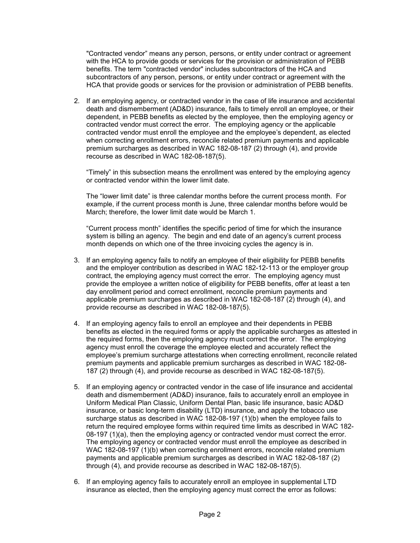"Contracted vendor" means any person, persons, or entity under contract or agreement with the HCA to provide goods or services for the provision or administration of PEBB benefits. The term "contracted vendor" includes subcontractors of the HCA and subcontractors of any person, persons, or entity under contract or agreement with the HCA that provide goods or services for the provision or administration of PEBB benefits.

2. If an employing agency, or contracted vendor in the case of life insurance and accidental death and dismemberment (AD&D) insurance, fails to timely enroll an employee, or their dependent, in PEBB benefits as elected by the employee, then the employing agency or contracted vendor must correct the error. The employing agency or the applicable contracted vendor must enroll the employee and the employee's dependent, as elected when correcting enrollment errors, reconcile related premium payments and applicable premium surcharges as described in WAC 182-08-187 (2) through (4), and provide recourse as described in WAC 182-08-187(5).

"Timely" in this subsection means the enrollment was entered by the employing agency or contracted vendor within the lower limit date.

The "lower limit date" is three calendar months before the current process month. For example, if the current process month is June, three calendar months before would be March; therefore, the lower limit date would be March 1.

"Current process month" identifies the specific period of time for which the insurance system is billing an agency. The begin and end date of an agency's current process month depends on which one of the three invoicing cycles the agency is in.

- 3. If an employing agency fails to notify an employee of their eligibility for PEBB benefits and the employer contribution as described in WAC 182-12-113 or the employer group contract, the employing agency must correct the error. The employing agency must provide the employee a written notice of eligibility for PEBB benefits, offer at least a ten day enrollment period and correct enrollment, reconcile premium payments and applicable premium surcharges as described in WAC 182-08-187 (2) through (4), and provide recourse as described in WAC 182-08-187(5).
- 4. If an employing agency fails to enroll an employee and their dependents in PEBB benefits as elected in the required forms or apply the applicable surcharges as attested in the required forms, then the employing agency must correct the error. The employing agency must enroll the coverage the employee elected and accurately reflect the employee's premium surcharge attestations when correcting enrollment, reconcile related premium payments and applicable premium surcharges as described in WAC 182-08- 187 (2) through (4), and provide recourse as described in WAC 182-08-187(5).
- 5. If an employing agency or contracted vendor in the case of life insurance and accidental death and dismemberment (AD&D) insurance, fails to accurately enroll an employee in Uniform Medical Plan Classic, Uniform Dental Plan, basic life insurance, basic AD&D insurance, or basic long-term disability (LTD) insurance, and apply the tobacco use surcharge status as described in WAC 182-08-197 (1)(b) when the employee fails to return the required employee forms within required time limits as described in WAC 182- 08-197 (1)(a), then the employing agency or contracted vendor must correct the error. The employing agency or contracted vendor must enroll the employee as described in WAC 182-08-197 (1)(b) when correcting enrollment errors, reconcile related premium payments and applicable premium surcharges as described in WAC 182-08-187 (2) through (4), and provide recourse as described in WAC 182-08-187(5).
- 6. If an employing agency fails to accurately enroll an employee in supplemental LTD insurance as elected, then the employing agency must correct the error as follows: